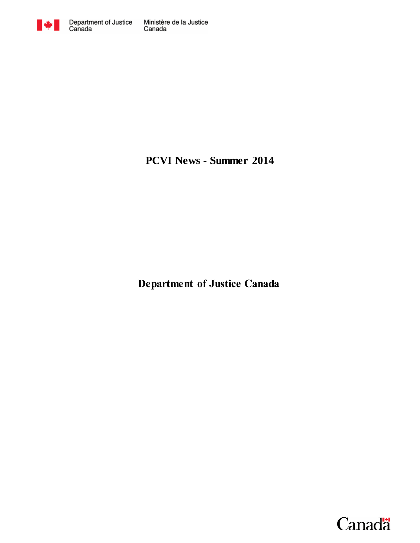

**PCVI News - Summer 2014**

**Department of Justice Canada**

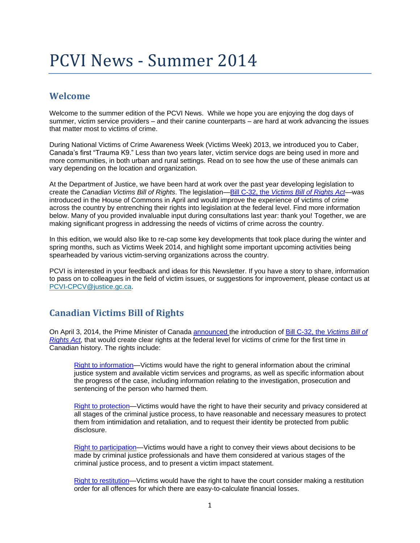# PCVI News - Summer 2014

## **Welcome**

Welcome to the summer edition of the PCVI News. While we hope you are enjoying the dog days of summer, victim service providers – and their canine counterparts – are hard at work advancing the issues that matter most to victims of crime.

During National Victims of Crime Awareness Week (Victims Week) 2013, we introduced you to Caber, Canada's first "Trauma K9." Less than two years later, victim service dogs are being used in more and more communities, in both urban and rural settings. Read on to see how the use of these animals can vary depending on the location and organization.

At the Department of Justice, we have been hard at work over the past year developing legislation to create the *Canadian Victims Bill of Rights*. The legislation—Bill C-32, the *[Victims Bill of Rights Act—](http://www.parl.gc.ca/LegisInfo/BillDetails.aspx?Language=E&Mode=1&billId=6503398)*was introduced in the House of Commons in April and would improve the experience of victims of crime across the country by entrenching their rights into legislation at the federal level. Find more information below. Many of you provided invaluable input during consultations last year: thank you! Together, we are making significant progress in addressing the needs of victims of crime across the country.

In this edition, we would also like to re-cap some key developments that took place during the winter and spring months, such as Victims Week 2014, and highlight some important upcoming activities being spearheaded by various victim-serving organizations across the country.

PCVI is interested in your feedback and ideas for this Newsletter. If you have a story to share, information to pass on to colleagues in the field of victim issues, or suggestions for improvement, please contact us at [PCVI-CPCV@justice.gc.ca.](mailto:PCVI-CPCV@justice.gc.ca)

## **Canadian Victims Bill of Rights**

On April 3, 2014, the Prime Minister of Canada [announced t](http://news.gc.ca/web/article-en.do?crtr.sj1D=&crtr.mnthndVl=4&mthd=advSrch&crtr.dpt1D=&nid=835229&crtr.lc1D=&crtr.tp1D=&crtr.yrStrtVl=2014&crtr.kw=&crtr.dyStrtVl=3&crtr.aud1D=&crtr.mnthStrtVl=4&crtr.page=2&crtr.yrndVl=2014&crtr.dyndVl=3)he introduction of [Bill C-32, the](http://www.parl.gc.ca/LegisInfo/BillDetails.aspx?Language=E&Mode=1&billId=6503398) *Victims Bill of Rights Act*, that would create clear rights at the federal level for victims of crime for the first time in Canadian history. The rights include:

[Right to information—](http://news.gc.ca/web/article-en.do?mthd=index&crtr.page=1&nid=835239)Victims would have the right to general information about the criminal justice system and available victim services and programs, as well as specific information about the progress of the case, including information relating to the investigation, prosecution and sentencing of the person who harmed them.

[Right to protection—](http://news.gc.ca/web/article-en.do?mthd=index&crtr.page=1&nid=835219)Victims would have the right to have their security and privacy considered at all stages of the criminal justice process, to have reasonable and necessary measures to protect them from intimidation and retaliation, and to request their identity be protected from public disclosure.

[Right to participation—](http://news.gc.ca/web/article-en.do?mthd=index&crtr.page=1&nid=835279)Victims would have a right to convey their views about decisions to be made by criminal justice professionals and have them considered at various stages of the criminal justice process, and to present a victim impact statement.

[Right to restitution—](http://news.gc.ca/web/article-en.do?mthd=index&crtr.page=1&nid=835269)Victims would have the right to have the court consider making a restitution order for all offences for which there are easy-to-calculate financial losses.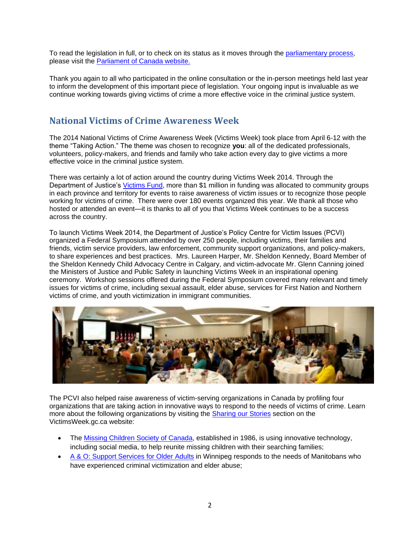To read the legislation in full, or to check on its status as it moves through the [parliamentary process,](http://www.parl.gc.ca/Content/LOP/ResearchPublications/prb0864-e.htm) please visit the [Parliament of Canada website.](http://www.parl.gc.ca/LEGISInfo/BillDetails.aspx?Language=E&Mode=1&billId=6503398)

Thank you again to all who participated in the online consultation or the in-person meetings held last year to inform the development of this important piece of legislation. Your ongoing input is invaluable as we continue working towards giving victims of crime a more effective voice in the criminal justice system.

## **National Victims of Crime Awareness Week**

The 2014 National Victims of Crime Awareness Week (Victims Week) took place from April 6-12 with the theme "Taking Action." The theme was chosen to recognize **you**: all of the dedicated professionals, volunteers, policy-makers, and friends and family who take action every day to give victims a more effective voice in the criminal justice system.

There was certainly a lot of action around the country during Victims Week 2014. Through the Department of Justice's [Victims Fund,](http://www.justice.gc.ca/eng/fund-fina/cj-jp/fund-fond/index.html) more than \$1 million in funding was allocated to community groups in each province and territory for events to raise awareness of victim issues or to recognize those people working for victims of crime. There were over 180 events organized this year. We thank all those who hosted or attended an event—it is thanks to all of you that Victims Week continues to be a success across the country.

To launch Victims Week 2014, the Department of Justice's Policy Centre for Victim Issues (PCVI) organized a Federal Symposium attended by over 250 people, including victims, their families and friends, victim service providers, law enforcement, community support organizations, and policy-makers, to share experiences and best practices. Mrs. Laureen Harper, Mr. Sheldon Kennedy, Board Member of the Sheldon Kennedy Child Advocacy Centre in Calgary, and victim-advocate Mr. Glenn Canning joined the Ministers of Justice and Public Safety in launching Victims Week in an inspirational opening ceremony. Workshop sessions offered during the Federal Symposium covered many relevant and timely issues for victims of crime, including sexual assault, elder abuse, services for First Nation and Northern victims of crime, and youth victimization in immigrant communities.



The PCVI also helped raise awareness of victim-serving organizations in Canada by profiling four organizations that are taking action in innovative ways to respond to the needs of victims of crime. Learn more about the following organizations by visiting the [Sharing our Stories](http://www.victimsweek.gc.ca/stories-experience/index.html) section on the VictimsWeek.gc.ca website:

- The [Missing Children Society of Canada,](http://www.victimsweek.gc.ca/stories-experience/video/miss_chil-enf_disp.html) established in 1986, is using innovative technology, including social media, to help reunite missing children with their searching families;
- [A & O: Support Services for Older Adults](http://www.victimsweek.gc.ca/stories-experience/essay-essai/aando.html) in Winnipeg responds to the needs of Manitobans who have experienced criminal victimization and elder abuse;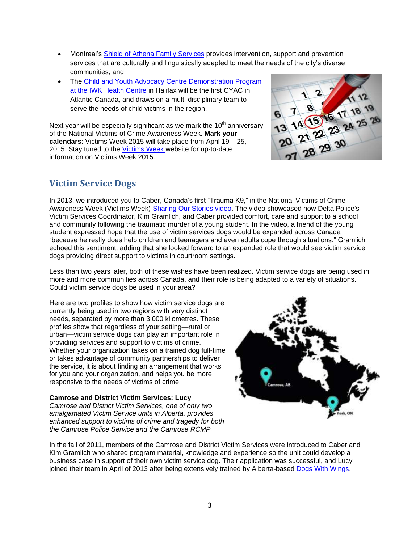- Montreal's [Shield of Athena Family Services](http://www.victimsweek.gc.ca/stories-experience/essay-essai/athena.html) provides intervention, support and prevention services that are culturally and linguistically adapted to meet the needs of the city's diverse communities; and
- The [Child and Youth Advocacy Centre Demonstration Program](http://www.victimsweek.gc.ca/stories-experience/essay-essai/cyac-caea.html)  [at the IWK Health Centre](http://www.victimsweek.gc.ca/stories-experience/essay-essai/cyac-caea.html) in Halifax will be the first CYAC in Atlantic Canada, and draws on a multi-disciplinary team to serve the needs of child victims in the region.

Next year will be especially significant as we mark the  $10<sup>th</sup>$  anniversary of the National Victims of Crime Awareness Week. **Mark your calendars**: Victims Week 2015 will take place from April 19 – 25, 2015. Stay tuned to the [Victims](http://www.victimsweek.gc.ca/) Week website for up-to-date information on Victims Week 2015.



## **Victim Service Dogs**

In 2013, we introduced you to Caber, Canada's first "Trauma K9," in the National Victims of Crime Awareness Week (Victims Week) [Sharing Our Stories video.](http://www.victimsweek.gc.ca/stories-experience/Video/caber.html) The video showcased how Delta Police's Victim Services Coordinator, Kim Gramlich, and Caber provided comfort, care and support to a school and community following the traumatic murder of a young student. In the video, a friend of the young student expressed hope that the use of victim services dogs would be expanded across Canada "because he really does help children and teenagers and even adults cope through situations." Gramlich echoed this sentiment, adding that she looked forward to an expanded role that would see victim service dogs providing direct support to victims in courtroom settings.

Less than two years later, both of these wishes have been realized. Victim service dogs are being used in more and more communities across Canada, and their role is being adapted to a variety of situations. Could victim service dogs be used in your area?

Here are two profiles to show how victim service dogs are currently being used in two regions with very distinct needs, separated by more than 3,000 kilometres. These profiles show that regardless of your setting—rural or urban—victim service dogs can play an important role in providing services and support to victims of crime. Whether your organization takes on a trained dog full-time or takes advantage of community partnerships to deliver the service, it is about finding an arrangement that works for you and your organization, and helps you be more responsive to the needs of victims of crime.

#### **Camrose and District Victim Services: Lucy** *Camrose and District Victim Services, one of only two amalgamated Victim Service units in Alberta, provides enhanced support to victims of crime and tragedy for both the Camrose Police Service and the Camrose RCMP.*



In the fall of 2011, members of the Camrose and District Victim Services were introduced to Caber and Kim Gramlich who shared program material, knowledge and experience so the unit could develop a business case in support of their own victim service dog. Their application was successful, and Lucy joined their team in April of 2013 after being extensively trained by Alberta-based [Dogs With Wings.](http://dogswithwings.ca/)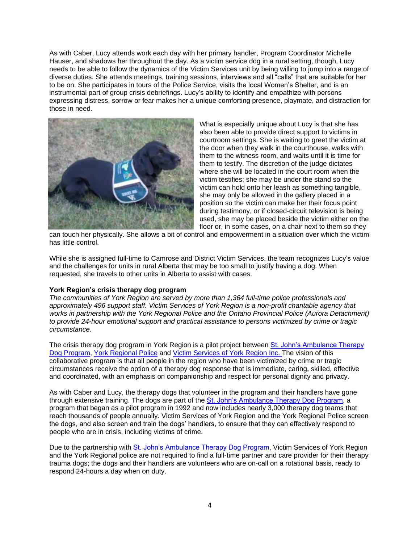As with Caber, Lucy attends work each day with her primary handler, Program Coordinator Michelle Hauser, and shadows her throughout the day. As a victim service dog in a rural setting, though, Lucy needs to be able to follow the dynamics of the Victim Services unit by being willing to jump into a range of diverse duties. She attends meetings, training sessions, interviews and all "calls" that are suitable for her to be on. She participates in tours of the Police Service, visits the local Women's Shelter, and is an instrumental part of group crisis debriefings. Lucy's ability to identify and empathize with persons expressing distress, sorrow or fear makes her a unique comforting presence, playmate, and distraction for those in need.



What is especially unique about Lucy is that she has also been able to provide direct support to victims in courtroom settings. She is waiting to greet the victim at the door when they walk in the courthouse, walks with them to the witness room, and waits until it is time for them to testify. The discretion of the judge dictates where she will be located in the court room when the victim testifies; she may be under the stand so the victim can hold onto her leash as something tangible, she may only be allowed in the gallery placed in a position so the victim can make her their focus point during testimony, or if closed-circuit television is being used, she may be placed beside the victim either on the floor or, in some cases, on a chair next to them so they

can touch her physically. She allows a bit of control and empowerment in a situation over which the victim has little control.

While she is assigned full-time to Camrose and District Victim Services, the team recognizes Lucy's value and the challenges for units in rural Alberta that may be too small to justify having a dog. When requested, she travels to other units in Alberta to assist with cases.

#### **York Region's crisis therapy dog program**

*The communities of York Region are served by more than 1,364 full-time police professionals and approximately 496 support staff. Victim Services of York Region is a non-profit charitable agency that works in partnership with the York Regional Police and the Ontario Provincial Police (Aurora Detachment) to provide 24-hour emotional support and practical assistance to persons victimized by crime or tragic circumstance.*

The crisis therapy dog program in York Region is a pilot project between [St. John's Ambulance Therapy](http://www.sja.ca/English/Community-Services/Pages/Therapy%20Dog%20Services/default.aspx)  [Dog Program,](http://www.sja.ca/English/Community-Services/Pages/Therapy%20Dog%20Services/default.aspx) [York Regional Police](http://www.yrp.ca/) and [Victim Services of York Region Inc. T](http://www.victimservices-york.org/)he vision of this collaborative program is that all people in the region who have been victimized by crime or tragic circumstances receive the option of a therapy dog response that is immediate, caring, skilled, effective and coordinated, with an emphasis on companionship and respect for personal dignity and privacy.

As with Caber and Lucy, the therapy dogs that volunteer in the program and their handlers have gone through extensive training. The dogs are part of the [St. John's Ambulance Therapy Dog Program,](http://www.sja.ca/English/Community-Services/Pages/Therapy%20Dog%20Services/default.aspx) a program that began as a pilot program in 1992 and now includes nearly 3,000 therapy dog teams that reach thousands of people annually. Victim Services of York Region and the York Regional Police screen the dogs, and also screen and train the dogs' handlers, to ensure that they can effectively respond to people who are in crisis, including victims of crime.

Due to the partnership with [St. John's Ambulance Therapy Dog Program,](http://www.sja.ca/English/Community-Services/Pages/Therapy%20Dog%20Services/default.aspx) Victim Services of York Region and the York Regional police are not required to find a full-time partner and care provider for their therapy trauma dogs; the dogs and their handlers are volunteers who are on-call on a rotational basis, ready to respond 24-hours a day when on duty.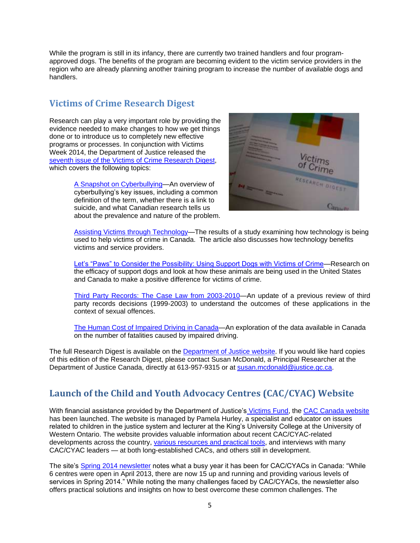While the program is still in its infancy, there are currently two trained handlers and four programapproved dogs. The benefits of the program are becoming evident to the victim service providers in the region who are already planning another training program to increase the number of available dogs and handlers.

## **Victims of Crime Research Digest**

Research can play a very important role by providing the evidence needed to make changes to how we get things done or to introduce us to completely new effective programs or processes. In conjunction with Victims Week 2014, the Department of Justice released the [seventh issue of the Victims of Crime Research Digest,](http://www.justice.gc.ca/eng/rp-pr/cj-jp/victim/rd7-rr7/toc-tdm.html) which covers the following topics:

> [A Snapshot on Cyberbullying—](http://www.justice.gc.ca/eng/rp-pr/cj-jp/victim/rd7-rr7/p2.html)An overview of cyberbullying's key issues, including a common definition of the term, whether there is a link to suicide, and what Canadian research tells us about the prevalence and nature of the problem.



[Assisting Victims through Technology—](http://www.justice.gc.ca/eng/rp-pr/cj-jp/victim/rd7-rr7/p3.html)The results of a study examining how technology is being used to help victims of crime in Canada. The article also discusses how technology benefits victims and service providers.

[Let's "Paws" to Consider the Possibility: Using Support Dogs with Victims of Crime—](http://www.justice.gc.ca/eng/rp-pr/cj-jp/victim/rd7-rr7/p4.html)Research on the efficacy of support dogs and look at how these animals are being used in the United States and Canada to make a positive difference for victims of crime.

[Third Party Records: The Case Law from 2003-2010—](http://www.justice.gc.ca/eng/rp-pr/cj-jp/victim/rd7-rr7/p5.html)An update of a previous review of third party records decisions (1999-2003) to understand the outcomes of these applications in the context of sexual offences.

[The Human Cost of Impaired Driving in Canada—](http://www.justice.gc.ca/eng/rp-pr/cj-jp/victim/rd7-rr7/p6.html)An exploration of the data available in Canada on the number of fatalities caused by impaired driving.

The full Research Digest is available on the [Department of Justice website.](http://www.justice.gc.ca/eng/rp-pr/cj-jp/victim/rd7-rr7/toc-tdm.html) If you would like hard copies of this edition of the Research Digest, please contact Susan McDonald, a Principal Researcher at the Department of Justice Canada, directly at 613-957-9315 or at [susan.mcdonald@justice.gc.ca.](mailto:susan.mcdonald@justice.gc.ca)

## **Launch of the Child and Youth Advocacy Centres (CAC/CYAC) Website**

With financial assistance provided by the Department of Justice's [Victims Fund,](http://www.justice.gc.ca/eng/fund-fina/cj-jp/fund-fond/index.html) the [CAC Canada website](http://cac-cae.ca/) has been launched. The website is managed by Pamela Hurley, a specialist and educator on issues related to children in the justice system and lecturer at the King's University College at the University of Western Ontario. The website provides valuable information about recent CAC/CYAC-related developments across the country, [various resources and practical tools,](http://cac-cae.ca/resources/) and interviews with many CAC/CYAC leaders — at both long-established CACs, and others still in development.

The site's [Spring 2014 newsletter](http://cac-cae.ca/wp-content/uploads/newsletter_english_april_2014v3.pdf) notes what a busy year it has been for CAC/CYACs in Canada: "While 6 centres were open in April 2013, there are now 15 up and running and providing various levels of services in Spring 2014." While noting the many challenges faced by CAC/CYACs, the newsletter also offers practical solutions and insights on how to best overcome these common challenges. The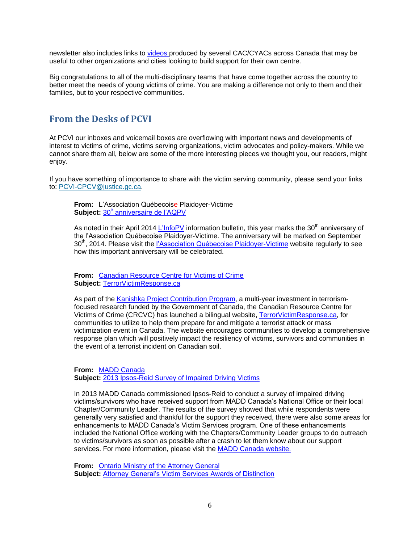newsletter also includes links to [videos p](http://cac-cae.ca/videos/)roduced by several CAC/CYACs across Canada that may be useful to other organizations and cities looking to build support for their own centre.

Big congratulations to all of the multi-disciplinary teams that have come together across the country to better meet the needs of young victims of crime. You are making a difference not only to them and their families, but to your respective communities.

### **From the Desks of PCVI**

At PCVI our inboxes and voicemail boxes are overflowing with important news and developments of interest to victims of crime, victims serving organizations, victim advocates and policy-makers. While we cannot share them all, below are some of the more interesting pieces we thought you, our readers, might enjoy.

If you have something of importance to share with the victim serving community, please send your links to: [PCVI-CPCV@justice.gc.ca.](mailto:PCVI-CPCV@justice.gc.ca)

**From:** L'Association Québecoise Plaidoyer-Victime Subject: 30<sup>e</sup> [anniversaire de l'AQPV](http://www.aqpv.ca/images/stories/docs/infopv22_avril2014.pdf)

As noted in their April 2014 [L'InfoPV](http://www.aqpv.ca/images/stories/docs/infopv22_avril2014.pdf) information bulletin, this year marks the 30<sup>th</sup> anniversary of the l'Association Québecoise Plaidoyer-Victime. The anniversary will be marked on September 30<sup>th</sup>, 2014. Please visit the [l'Association Québecoise](http://www.aqpv.ca/) Plaidoyer-Victime website regularly to see how this important anniversary will be celebrated.

**From:** [Canadian Resource Centre for Victims of Crime](http://crcvc.ca/)  **Subject:** [TerrorVictimResponse.ca](http://terrorvictimresponse.ca/)

As part of the [Kanishka Project Contribution Program,](http://www.publicsafety.gc.ca/cnt/ntnl-scrt/cntr-trrrsm/r-nd-flght-182/knshk/index-eng.aspx) a multi-year investment in terrorismfocused research funded by the Government of Canada, the Canadian Resource Centre for Victims of Crime (CRCVC) has launched a bilingual website, [TerrorVictimResponse.ca,](http://terrorvictimresponse.ca/) for communities to utilize to help them prepare for and mitigate a terrorist attack or mass victimization event in Canada. The website encourages communities to develop a comprehensive response plan which will positively impact the resiliency of victims, survivors and communities in the event of a terrorist incident on Canadian soil.

**From:** [MADD Canada](http://www.madd.ca/madd2/en/services/victim_services_survey.html) **Subject:** [2013 Ipsos-Reid Survey of Impaired Driving Victims](http://www.madd.ca/madd2/en/services/victim_services_survey.html)

In 2013 MADD Canada commissioned Ipsos-Reid to conduct a survey of impaired driving victims/survivors who have received support from MADD Canada's National Office or their local Chapter/Community Leader. The results of the survey showed that while respondents were generally very satisfied and thankful for the support they received, there were also some areas for enhancements to MADD Canada's Victim Services program. One of these enhancements included the National Office working with the Chapters/Community Leader groups to do outreach to victims/survivors as soon as possible after a crash to let them know about our support services. For more information, please visit the MADD Canada website.

**From:** [Ontario Ministry of the Attorney General](http://www.attorneygeneral.jus.gov.on.ca/english/default.asp) **Subject:** [Attorney General's Victim Services Awards of Distinction](http://www.attorneygeneral.jus.gov.on.ca/english/ovss/awards.asp)